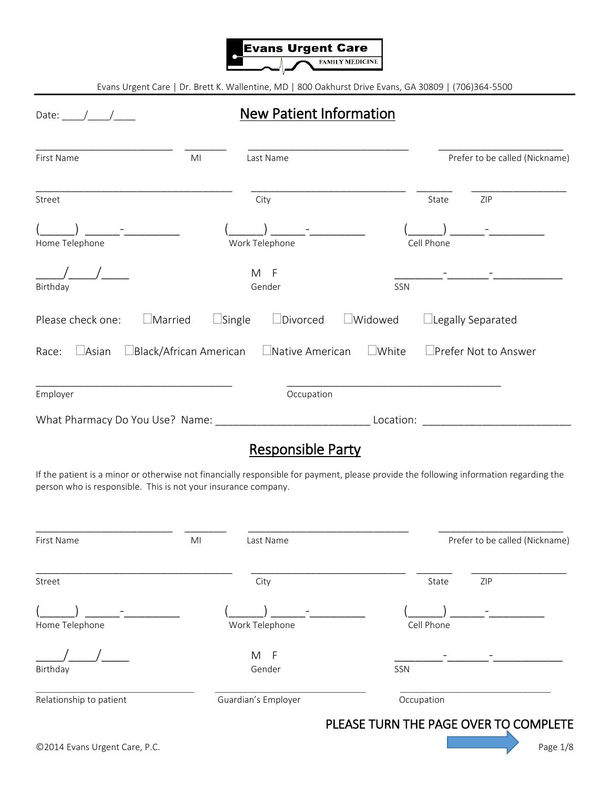

## Date: \_\_\_\_/\_\_\_\_/\_\_\_\_ New Patient Information

| First Name                          | MI                            | Last Name              |                |            | Prefer to be called (Nickname) |
|-------------------------------------|-------------------------------|------------------------|----------------|------------|--------------------------------|
| Street                              |                               | City                   |                | State      | ZIP                            |
| Home Telephone                      |                               | Work Telephone         |                | Cell Phone |                                |
| Birthday                            |                               | M F<br>Gender          | SSN            |            |                                |
| $\Box$ Married<br>Please check one: | $\Box$ Single                 | $\Box$ Divorced        | $\Box$ Widowed |            | $\Box$ Legally Separated       |
| $\Box$ Asian<br>Race:               | $\Box$ Black/African American | $\Box$ Native American | $\Box$ White   |            | $\Box$ Prefer Not to Answer    |
| Employer                            |                               | Occupation             |                |            |                                |
| What Pharmacy Do You Use? Name:     |                               |                        | Location:      |            |                                |

## Responsible Party

If the patient is a minor or otherwise not financially responsible for payment, please provide the following information regarding the person who is responsible. This is not your insurance company.

| MI<br>Last Name     | Prefer to be called (Nickname) |
|---------------------|--------------------------------|
| City                | ZIP<br>State                   |
| Work Telephone      | Cell Phone                     |
| M<br>- F<br>Gender  | SSN                            |
| Guardian's Employer | Occupation                     |
|                     |                                |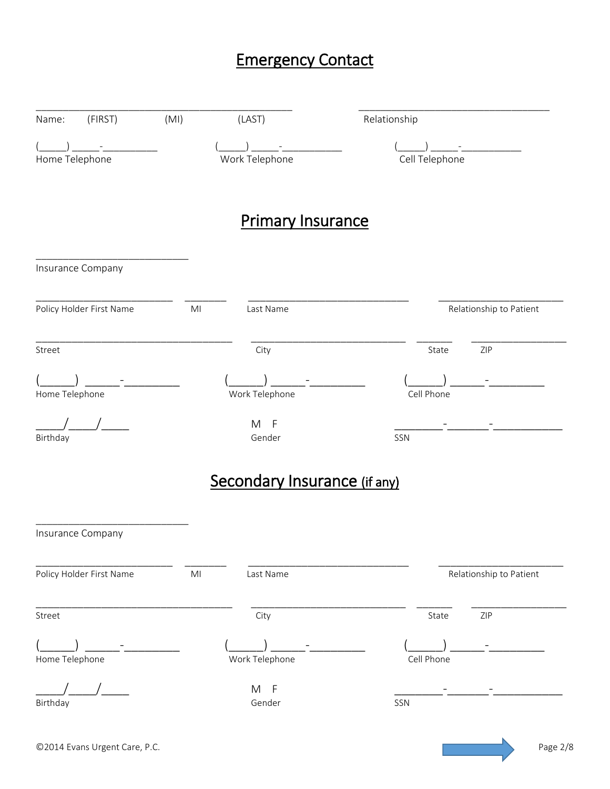# Emergency Contact

| (FIRST)<br>Name:         | (MI)           | (LAST)                       | Relationship            |
|--------------------------|----------------|------------------------------|-------------------------|
| Home Telephone           |                | Work Telephone               | Cell Telephone          |
|                          |                | <b>Primary Insurance</b>     |                         |
| Insurance Company        |                |                              |                         |
| Policy Holder First Name | M <sub>l</sub> | Last Name                    | Relationship to Patient |
| Street                   |                | City                         | ZIP<br>State            |
| Home Telephone           |                | Work Telephone               | Cell Phone              |
| Birthday                 |                | M<br>$-F$<br>Gender          | SSN                     |
|                          |                | Secondary Insurance (if any) |                         |
| Insurance Company        |                |                              |                         |
| Policy Holder First Name | M <sub>l</sub> | Last Name                    | Relationship to Patient |
| Street                   |                | City                         | State<br>ZIP            |
| Home Telephone           |                | Work Telephone               | Cell Phone              |
| Birthday                 |                | M F<br>Gender                | SSN                     |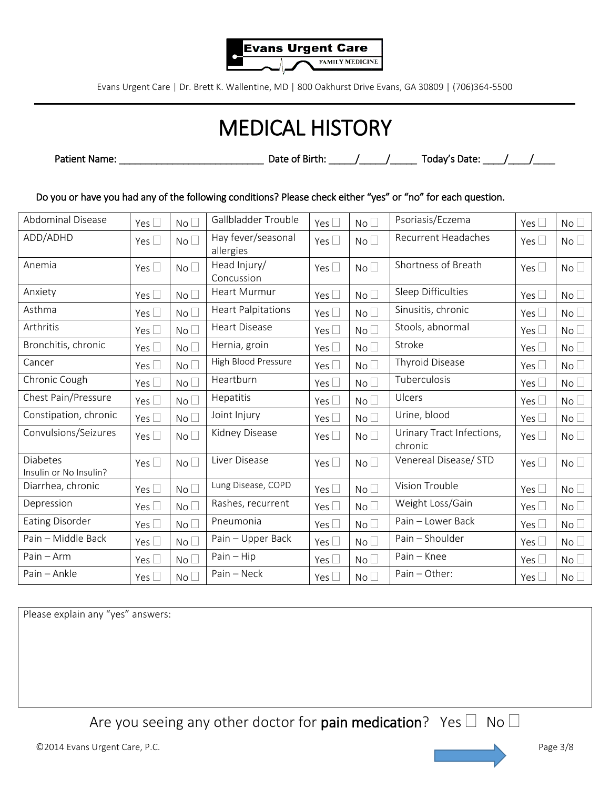

# MEDICAL HISTORY

Patient Name: \_\_\_\_\_\_\_\_\_\_\_\_\_\_\_\_\_\_\_\_\_\_\_\_\_\_\_ Date of Birth: \_\_\_\_\_/\_\_\_\_\_/\_\_\_\_\_ Today's Date: \_\_\_\_/\_\_\_\_/\_\_\_\_

Do you or have you had any of the following conditions? Please check either "yes" or "no" for each question.

| <b>Abdominal Disease</b>                  | Yes $\Box$    | No <sub>1</sub> | Gallbladder Trouble             | Yes $\square$ | No              | Psoriasis/Eczema                     | Yes $\square$ | No <sub>1</sub> |
|-------------------------------------------|---------------|-----------------|---------------------------------|---------------|-----------------|--------------------------------------|---------------|-----------------|
| ADD/ADHD                                  | Yes $\square$ | No              | Hay fever/seasonal<br>allergies | Yes $\square$ | No <sub>1</sub> | <b>Recurrent Headaches</b>           | Yes $\square$ | No <sub>1</sub> |
| Anemia                                    | Yes $\Box$    | No <sup>1</sup> | Head Injury/<br>Concussion      | Yes $\square$ | No              | Shortness of Breath                  | Yes $\square$ | No <sub>1</sub> |
| Anxiety                                   | Yes $\Box$    | No <sup>1</sup> | <b>Heart Murmur</b>             | Yes $\square$ | No <sub>1</sub> | <b>Sleep Difficulties</b>            | Yes $\square$ | No <sub>1</sub> |
| Asthma                                    | Yes $\square$ | No <sub>1</sub> | <b>Heart Palpitations</b>       | Yes $\square$ | No <sub>1</sub> | Sinusitis, chronic                   | Yes $\square$ | No <sub>1</sub> |
| Arthritis                                 | Yes $\square$ | No <sup>1</sup> | <b>Heart Disease</b>            | Yes $\square$ | No <sub>1</sub> | Stools, abnormal                     | Yes $\square$ | No <sub>1</sub> |
| Bronchitis, chronic                       | Yes $\square$ | No <sub>1</sub> | Hernia, groin                   | Yes $\square$ | No <sub>1</sub> | Stroke                               | Yes $\square$ | No              |
| Cancer                                    | Yes $\square$ | No <sup>1</sup> | High Blood Pressure             | Yes $\square$ | No              | <b>Thyroid Disease</b>               | Yes $\square$ | No <sub>1</sub> |
| Chronic Cough                             | Yes $\square$ | No <sup>1</sup> | Heartburn                       | Yes $\square$ | No <sub>1</sub> | Tuberculosis                         | Yes $\square$ | No <sub>1</sub> |
| Chest Pain/Pressure                       | Yes $\square$ | No <sup>1</sup> | Hepatitis                       | Yes $\square$ | No <sub>1</sub> | Ulcers                               | Yes $\square$ | No <sub>1</sub> |
| Constipation, chronic                     | Yes $\square$ | No <sup>1</sup> | Joint Injury                    | Yes $\square$ | No <sub>1</sub> | Urine, blood                         | Yes $\square$ | No <sub>1</sub> |
| Convulsions/Seizures                      | Yes $\square$ | No <sub>1</sub> | Kidney Disease                  | Yes $\square$ | No              | Urinary Tract Infections,<br>chronic | Yes $\square$ | No <sub>1</sub> |
| <b>Diabetes</b><br>Insulin or No Insulin? | Yes $\square$ | No <sup>1</sup> | Liver Disease                   | Yes $\square$ | No              | Venereal Disease/ STD                | Yes $\square$ | No <sub>1</sub> |
| Diarrhea, chronic                         | Yes $\square$ | No <sup>1</sup> | Lung Disease, COPD              | Yes $\square$ | No              | Vision Trouble                       | Yes $\square$ | No <sub>1</sub> |
| Depression                                | Yes $\square$ | No <sub>1</sub> | Rashes, recurrent               | Yes $\square$ | No              | Weight Loss/Gain                     | Yes $\square$ | No              |
| <b>Eating Disorder</b>                    | Yes $\square$ | No <sub>1</sub> | Pneumonia                       | Yes $\square$ | No              | Pain - Lower Back                    | Yes $\square$ | No <sub>1</sub> |
| Pain - Middle Back                        | Yes $\square$ | No <sub>1</sub> | Pain - Upper Back               | Yes $\square$ | No <sub>1</sub> | Pain - Shoulder                      | Yes $\square$ | No              |
| Pain - Arm                                | Yes $\square$ | No              | $Pain - Hip$                    | Yes $\square$ | No <sub>1</sub> | Pain - Knee                          | Yes $\square$ | No <sub>1</sub> |
| Pain - Ankle                              | Yes $\square$ | No              | Pain - Neck                     | Yes $\square$ | No <sub>1</sub> | Pain - Other:                        | Yes $\square$ | No <sub>1</sub> |

Please explain any "yes" answers:

Are you seeing any other doctor for pain medication? Yes  $\Box$  No  $\Box$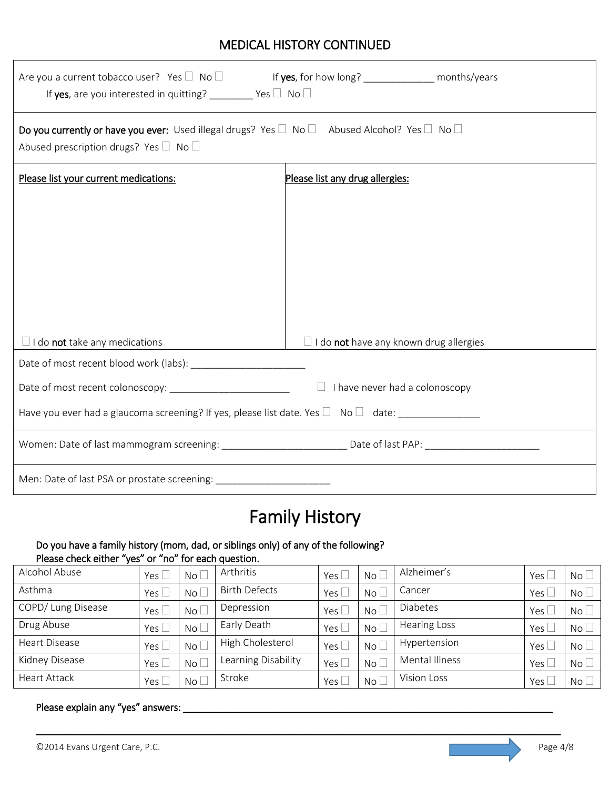## MEDICAL HISTORY CONTINUED

| Are you a current tobacco user? Yes $\Box$ No $\Box$ If yes, for how long? _____________ months/years<br>If yes, are you interested in quitting? ________ Yes $\Box$ No $\Box$  |                                               |  |  |  |  |
|---------------------------------------------------------------------------------------------------------------------------------------------------------------------------------|-----------------------------------------------|--|--|--|--|
| Do you currently or have you ever: Used illegal drugs? Yes $\square$ No $\square$ Abused Alcohol? Yes $\square$ No $\square$<br>Abused prescription drugs? Yes $\Box$ No $\Box$ |                                               |  |  |  |  |
| Please list your current medications:                                                                                                                                           | Please list any drug allergies:               |  |  |  |  |
|                                                                                                                                                                                 |                                               |  |  |  |  |
|                                                                                                                                                                                 |                                               |  |  |  |  |
|                                                                                                                                                                                 |                                               |  |  |  |  |
|                                                                                                                                                                                 |                                               |  |  |  |  |
|                                                                                                                                                                                 |                                               |  |  |  |  |
|                                                                                                                                                                                 |                                               |  |  |  |  |
| $\Box$ I do <b>not</b> take any medications                                                                                                                                     | $\Box$ I do not have any known drug allergies |  |  |  |  |
|                                                                                                                                                                                 |                                               |  |  |  |  |
| $\Box$ I have never had a colonoscopy                                                                                                                                           |                                               |  |  |  |  |
| Have you ever had a glaucoma screening? If yes, please list date. Yes $\Box$ No $\Box$ date:                                                                                    |                                               |  |  |  |  |
|                                                                                                                                                                                 |                                               |  |  |  |  |
| Men: Date of last PSA or prostate screening: ___________________________________                                                                                                |                                               |  |  |  |  |

# Family History

#### Do you have a family history (mom, dad, or siblings only) of any of the following? Please check either "yes" or "no" for each question.

| Alcohol Abuse      | Yes $\Box$ | No L | Arthritis            | Yes [         | No <sub>1</sub> | Alzheimer's         | Yes $\lfloor$    | No <sub>1</sub> |
|--------------------|------------|------|----------------------|---------------|-----------------|---------------------|------------------|-----------------|
| Asthma             | Yes $\Box$ | No L | <b>Birth Defects</b> | Yes $\lfloor$ | $No+$           | Cancer              | Yes $\lfloor$    | $No+$           |
| COPD/ Lung Disease | Yes l      | No L | Depression           | Yes [         | $No$ $\Box$     | <b>Diabetes</b>     | Yes $\mathcal L$ | No <sub>1</sub> |
| Drug Abuse         | Yes l      | No L | Early Death          | Yes $[$       | $No$ $\Box$     | <b>Hearing Loss</b> | Yes $\lfloor$    | No <sub>1</sub> |
| Heart Disease      | Yes $\Box$ | No L | High Cholesterol     | Yes           | No <sub>1</sub> | Hypertension        | Yes $\lfloor$    | No <sup>2</sup> |
| Kidney Disease     | Yes $\Box$ | No L | Learning Disability  | Yes L         | $No+$           | Mental Illness      | Yes $\Box$       | No <sub>1</sub> |
| Heart Attack       | Yes $\Box$ | No L | Stroke               | Yes           | $No+$           | Vision Loss         | Yes l            | $No$ $\Box$     |

\_\_\_\_\_\_\_\_\_\_\_\_\_\_\_\_\_\_\_\_\_\_\_\_\_\_\_\_\_\_\_\_\_\_\_\_\_\_\_\_\_\_\_\_\_\_\_\_\_\_\_\_\_\_\_\_\_\_\_\_\_\_\_\_\_\_\_\_\_\_\_\_\_\_\_\_\_\_\_\_\_\_\_\_\_\_\_\_\_\_\_\_\_\_\_\_\_\_

## Please explain any "yes" answers: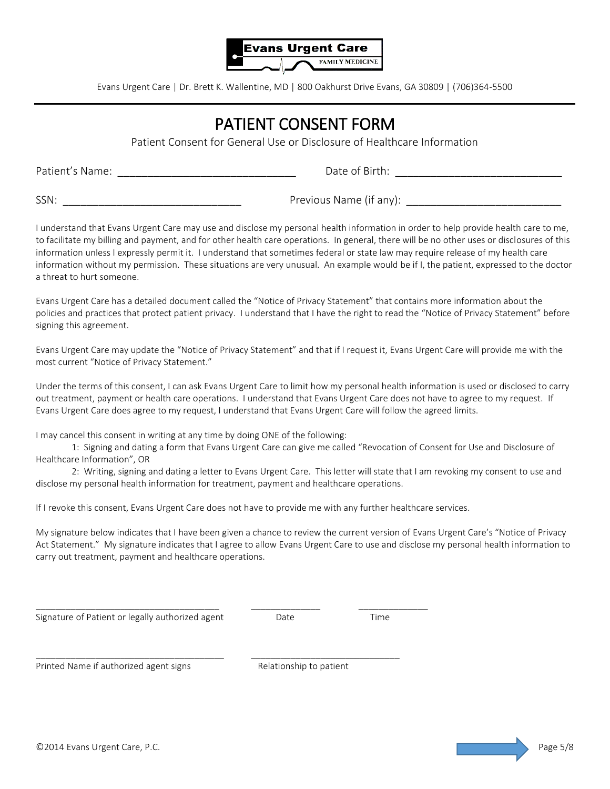

## PATIENT CONSENT FORM

Patient Consent for General Use or Disclosure of Healthcare Information

Patient's Name: \_\_\_\_\_\_\_\_\_\_\_\_\_\_\_\_\_\_\_\_\_\_\_\_\_\_\_\_\_\_ Date of Birth: \_\_\_\_\_\_\_\_\_\_\_\_\_\_\_\_\_\_\_\_\_\_\_\_\_\_\_\_

SSN: \_\_\_\_\_\_\_\_\_\_\_\_\_\_\_\_\_\_\_\_\_\_\_\_\_\_\_\_\_\_ Previous Name (if any): \_\_\_\_\_\_\_\_\_\_\_\_\_\_\_\_\_\_\_\_\_\_\_\_\_\_

I understand that Evans Urgent Care may use and disclose my personal health information in order to help provide health care to me, to facilitate my billing and payment, and for other health care operations. In general, there will be no other uses or disclosures of this information unless I expressly permit it. I understand that sometimes federal or state law may require release of my health care information without my permission. These situations are very unusual. An example would be if I, the patient, expressed to the doctor a threat to hurt someone.

Evans Urgent Care has a detailed document called the "Notice of Privacy Statement" that contains more information about the policies and practices that protect patient privacy. I understand that I have the right to read the "Notice of Privacy Statement" before signing this agreement.

Evans Urgent Care may update the "Notice of Privacy Statement" and that if I request it, Evans Urgent Care will provide me with the most current "Notice of Privacy Statement."

Under the terms of this consent, I can ask Evans Urgent Care to limit how my personal health information is used or disclosed to carry out treatment, payment or health care operations. I understand that Evans Urgent Care does not have to agree to my request. If Evans Urgent Care does agree to my request, I understand that Evans Urgent Care will follow the agreed limits.

I may cancel this consent in writing at any time by doing ONE of the following:

1: Signing and dating a form that Evans Urgent Care can give me called "Revocation of Consent for Use and Disclosure of Healthcare Information", OR

2: Writing, signing and dating a letter to Evans Urgent Care. This letter will state that I am revoking my consent to use and disclose my personal health information for treatment, payment and healthcare operations.

If I revoke this consent, Evans Urgent Care does not have to provide me with any further healthcare services.

 $\_$  ,  $\_$  ,  $\_$  ,  $\_$  ,  $\_$  ,  $\_$  ,  $\_$  ,  $\_$  ,  $\_$  ,  $\_$  ,  $\_$  ,  $\_$  ,  $\_$  ,  $\_$  ,  $\_$  ,  $\_$  ,  $\_$  ,  $\_$  ,  $\_$  ,  $\_$ 

\_\_\_\_\_\_\_\_\_\_\_\_\_\_\_\_\_\_\_\_\_\_\_\_\_\_\_\_\_\_\_\_\_\_\_\_\_\_ \_\_\_\_\_\_\_\_\_\_\_\_\_\_\_\_\_\_\_\_\_\_\_\_\_\_\_\_\_\_

My signature below indicates that I have been given a chance to review the current version of Evans Urgent Care's "Notice of Privacy Act Statement." My signature indicates that I agree to allow Evans Urgent Care to use and disclose my personal health information to carry out treatment, payment and healthcare operations.

Signature of Patient or legally authorized agent Date Date Date Time

Printed Name if authorized agent signs Relationship to patient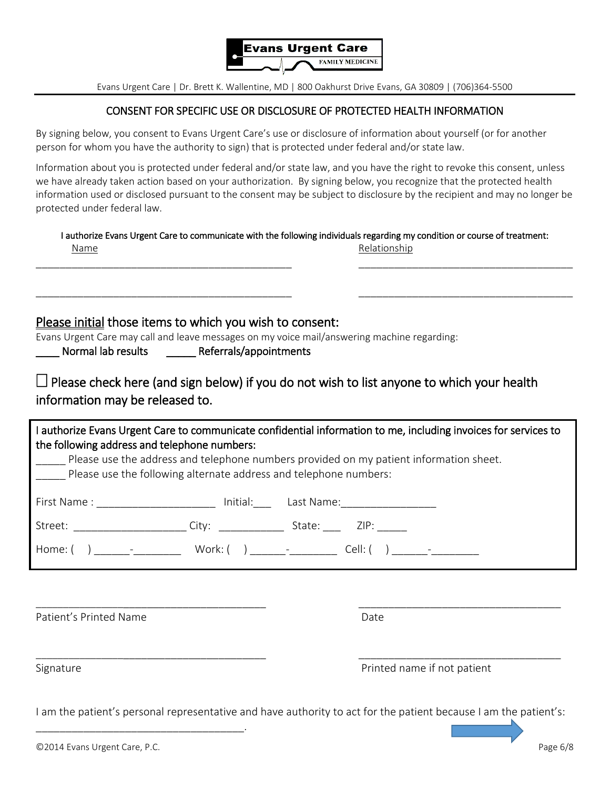

### CONSENT FOR SPECIFIC USE OR DISCLOSURE OF PROTECTED HEALTH INFORMATION

By signing below, you consent to Evans Urgent Care's use or disclosure of information about yourself (or for another person for whom you have the authority to sign) that is protected under federal and/or state law.

Information about you is protected under federal and/or state law, and you have the right to revoke this consent, unless we have already taken action based on your authorization. By signing below, you recognize that the protected health information used or disclosed pursuant to the consent may be subject to disclosure by the recipient and may no longer be protected under federal law.

|      | I authorize Evans Urgent Care to communicate with the following individuals regarding my condition or course of treatment: |
|------|----------------------------------------------------------------------------------------------------------------------------|
| Name | Relationship                                                                                                               |

\_\_\_\_\_\_\_\_\_\_\_\_\_\_\_\_\_\_\_\_\_\_\_\_\_\_\_\_\_\_\_\_\_\_\_\_\_\_\_\_\_\_\_ \_\_\_\_\_\_\_\_\_\_\_\_\_\_\_\_\_\_\_\_\_\_\_\_\_\_\_\_\_\_\_\_\_\_\_\_

\_\_\_\_\_\_\_\_\_\_\_\_\_\_\_\_\_\_\_\_\_\_\_\_\_\_\_\_\_\_\_\_\_\_\_\_\_\_\_\_\_\_\_ \_\_\_\_\_\_\_\_\_\_\_\_\_\_\_\_\_\_\_\_\_\_\_\_\_\_\_\_\_\_\_\_\_\_\_\_

Please initial those items to which you wish to consent:

Evans Urgent Care may call and leave messages on my voice mail/answering machine regarding:

Normal lab results The Referrals/appointments

 $\Box$  Please check here (and sign below) if you do not wish to list anyone to which your health information may be released to.

| I authorize Evans Urgent Care to communicate confidential information to me, including invoices for services to<br>the following address and telephone numbers:<br>Please use the address and telephone numbers provided on my patient information sheet.<br>Please use the following alternate address and telephone numbers: |  |  |
|--------------------------------------------------------------------------------------------------------------------------------------------------------------------------------------------------------------------------------------------------------------------------------------------------------------------------------|--|--|
| First Name : __________________________ Initial:_________________________________                                                                                                                                                                                                                                              |  |  |
|                                                                                                                                                                                                                                                                                                                                |  |  |
|                                                                                                                                                                                                                                                                                                                                |  |  |
|                                                                                                                                                                                                                                                                                                                                |  |  |

Patient's Printed Name **Date** Date **Date** Date

Signature **Printed name if not patient** 

I am the patient's personal representative and have authority to act for the patient because I am the patient's:

\_\_\_\_\_\_\_\_\_\_\_\_\_\_\_\_\_\_\_\_\_\_\_\_\_\_\_\_\_\_\_\_\_\_\_\_\_\_\_\_ \_\_\_\_\_\_\_\_\_\_\_\_\_\_\_\_\_\_\_\_\_\_\_\_\_\_\_\_\_\_\_\_\_\_

\_\_\_\_\_\_\_\_\_\_\_\_\_\_\_\_\_\_\_\_\_\_\_\_\_\_\_\_\_\_\_\_\_\_\_.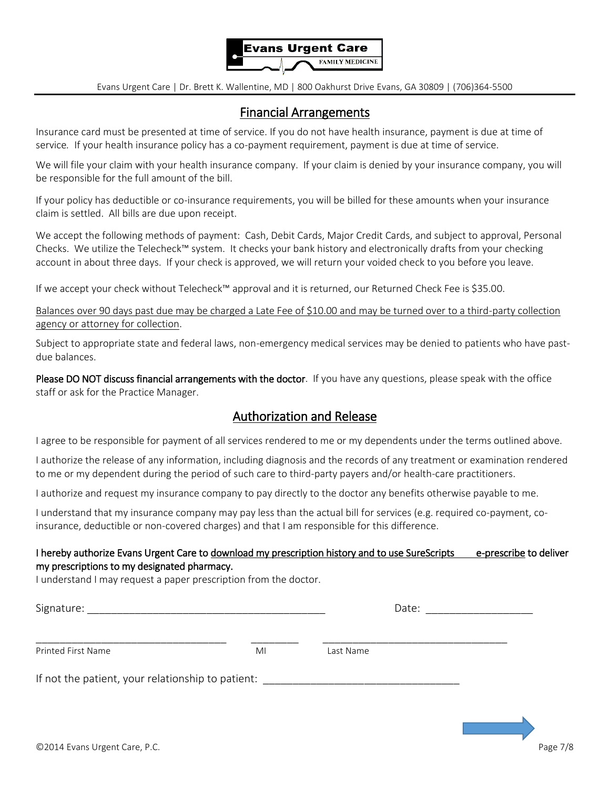

## Financial Arrangements

Insurance card must be presented at time of service. If you do not have health insurance, payment is due at time of service*.* If your health insurance policy has a co-payment requirement, payment is due at time of service.

We will file your claim with your health insurance company. If your claim is denied by your insurance company, you will be responsible for the full amount of the bill.

If your policy has deductible or co-insurance requirements, you will be billed for these amounts when your insurance claim is settled. All bills are due upon receipt.

We accept the following methods of payment: Cash, Debit Cards, Major Credit Cards, and subject to approval, Personal Checks. We utilize the Telecheck™ system. It checks your bank history and electronically drafts from your checking account in about three days. If your check is approved, we will return your voided check to you before you leave.

If we accept your check without Telecheck™ approval and it is returned, our Returned Check Fee is \$35.00.

Balances over 90 days past due may be charged a Late Fee of \$10.00 and may be turned over to a third-party collection agency or attorney for collection.

Subject to appropriate state and federal laws, non-emergency medical services may be denied to patients who have pastdue balances.

Please DO NOT discuss financial arrangements with the doctor. If you have any questions, please speak with the office staff or ask for the Practice Manager.

## Authorization and Release

I agree to be responsible for payment of all services rendered to me or my dependents under the terms outlined above.

I authorize the release of any information, including diagnosis and the records of any treatment or examination rendered to me or my dependent during the period of such care to third-party payers and/or health-care practitioners.

I authorize and request my insurance company to pay directly to the doctor any benefits otherwise payable to me.

I understand that my insurance company may pay less than the actual bill for services (e.g. required co-payment, coinsurance, deductible or non-covered charges) and that I am responsible for this difference.

### I hereby authorize Evans Urgent Care to download my prescription history and to use SureScripts e-prescribe to deliver my prescriptions to my designated pharmacy.

I understand I may request a paper prescription from the doctor.

| Signature:<br><u> 1980 - Jan Barbarat, martin da shekara tshirilgan ma'lumot</u> |    | Date:     |  |
|----------------------------------------------------------------------------------|----|-----------|--|
| Printed First Name                                                               | MI | Last Name |  |
| If not the patient, your relationship to patient:                                |    |           |  |